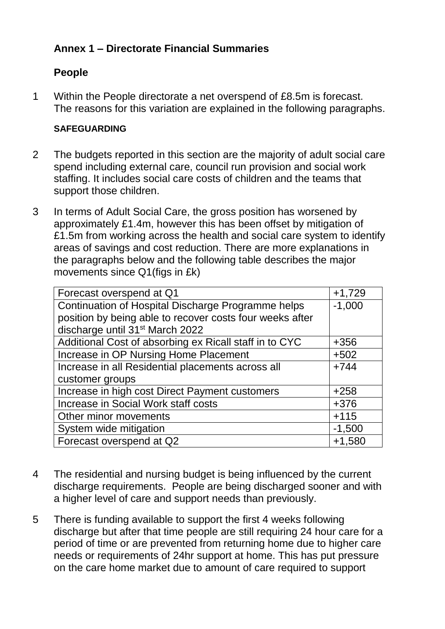## **Annex 1 – Directorate Financial Summaries**

### **People**

1 Within the People directorate a net overspend of £8.5m is forecast. The reasons for this variation are explained in the following paragraphs.

#### **SAFEGUARDING**

- 2 The budgets reported in this section are the majority of adult social care spend including external care, council run provision and social work staffing. It includes social care costs of children and the teams that support those children.
- 3 In terms of Adult Social Care, the gross position has worsened by approximately £1.4m, however this has been offset by mitigation of £1.5m from working across the health and social care system to identify areas of savings and cost reduction. There are more explanations in the paragraphs below and the following table describes the major movements since Q1(figs in £k)

| Forecast overspend at Q1                                 | $+1,729$ |
|----------------------------------------------------------|----------|
| Continuation of Hospital Discharge Programme helps       | $-1,000$ |
| position by being able to recover costs four weeks after |          |
| discharge until 31 <sup>st</sup> March 2022              |          |
| Additional Cost of absorbing ex Ricall staff in to CYC   | $+356$   |
| Increase in OP Nursing Home Placement                    | $+502$   |
| Increase in all Residential placements across all        | $+744$   |
| customer groups                                          |          |
| Increase in high cost Direct Payment customers           | $+258$   |
| Increase in Social Work staff costs                      | $+376$   |
| Other minor movements                                    | $+115$   |
| System wide mitigation                                   | $-1,500$ |
| Forecast overspend at Q2                                 | $+1,580$ |

- 4 The residential and nursing budget is being influenced by the current discharge requirements. People are being discharged sooner and with a higher level of care and support needs than previously.
- 5 There is funding available to support the first 4 weeks following discharge but after that time people are still requiring 24 hour care for a period of time or are prevented from returning home due to higher care needs or requirements of 24hr support at home. This has put pressure on the care home market due to amount of care required to support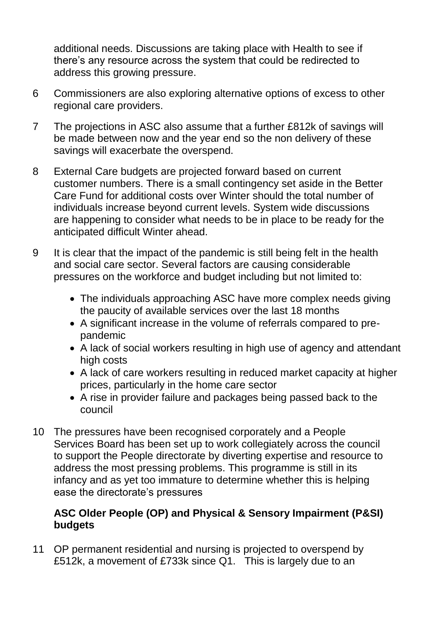additional needs. Discussions are taking place with Health to see if there's any resource across the system that could be redirected to address this growing pressure.

- 6 Commissioners are also exploring alternative options of excess to other regional care providers.
- 7 The projections in ASC also assume that a further £812k of savings will be made between now and the year end so the non delivery of these savings will exacerbate the overspend.
- 8 External Care budgets are projected forward based on current customer numbers. There is a small contingency set aside in the Better Care Fund for additional costs over Winter should the total number of individuals increase beyond current levels. System wide discussions are happening to consider what needs to be in place to be ready for the anticipated difficult Winter ahead.
- 9 It is clear that the impact of the pandemic is still being felt in the health and social care sector. Several factors are causing considerable pressures on the workforce and budget including but not limited to:
	- The individuals approaching ASC have more complex needs giving the paucity of available services over the last 18 months
	- A significant increase in the volume of referrals compared to prepandemic
	- A lack of social workers resulting in high use of agency and attendant high costs
	- A lack of care workers resulting in reduced market capacity at higher prices, particularly in the home care sector
	- A rise in provider failure and packages being passed back to the council
- 10 The pressures have been recognised corporately and a People Services Board has been set up to work collegiately across the council to support the People directorate by diverting expertise and resource to address the most pressing problems. This programme is still in its infancy and as yet too immature to determine whether this is helping ease the directorate's pressures

### **ASC Older People (OP) and Physical & Sensory Impairment (P&SI) budgets**

11 OP permanent residential and nursing is projected to overspend by £512k, a movement of £733k since Q1. This is largely due to an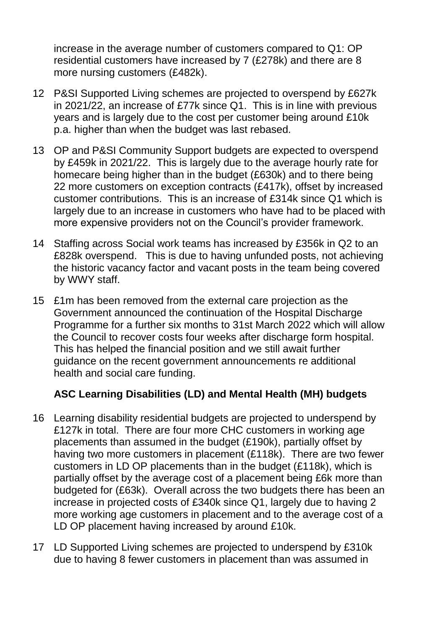increase in the average number of customers compared to Q1: OP residential customers have increased by 7 (£278k) and there are 8 more nursing customers (£482k).

- 12 P&SI Supported Living schemes are projected to overspend by £627k in 2021/22, an increase of £77k since Q1. This is in line with previous years and is largely due to the cost per customer being around £10k p.a. higher than when the budget was last rebased.
- 13 OP and P&SI Community Support budgets are expected to overspend by £459k in 2021/22. This is largely due to the average hourly rate for homecare being higher than in the budget (£630k) and to there being 22 more customers on exception contracts (£417k), offset by increased customer contributions. This is an increase of £314k since Q1 which is largely due to an increase in customers who have had to be placed with more expensive providers not on the Council's provider framework.
- 14 Staffing across Social work teams has increased by £356k in Q2 to an £828k overspend. This is due to having unfunded posts, not achieving the historic vacancy factor and vacant posts in the team being covered by WWY staff.
- 15 £1m has been removed from the external care projection as the Government announced the continuation of the Hospital Discharge Programme for a further six months to 31st March 2022 which will allow the Council to recover costs four weeks after discharge form hospital. This has helped the financial position and we still await further guidance on the recent government announcements re additional health and social care funding.

### **ASC Learning Disabilities (LD) and Mental Health (MH) budgets**

- 16 Learning disability residential budgets are projected to underspend by £127k in total. There are four more CHC customers in working age placements than assumed in the budget (£190k), partially offset by having two more customers in placement (£118k). There are two fewer customers in LD OP placements than in the budget (£118k), which is partially offset by the average cost of a placement being £6k more than budgeted for (£63k). Overall across the two budgets there has been an increase in projected costs of £340k since Q1, largely due to having 2 more working age customers in placement and to the average cost of a LD OP placement having increased by around £10k.
- 17 LD Supported Living schemes are projected to underspend by £310k due to having 8 fewer customers in placement than was assumed in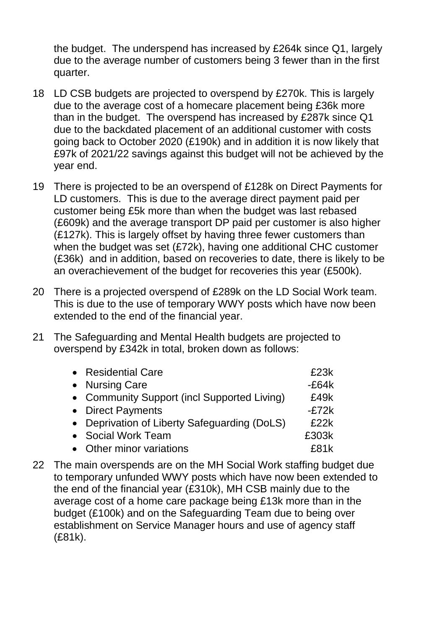the budget. The underspend has increased by £264k since Q1, largely due to the average number of customers being 3 fewer than in the first quarter.

- 18 LD CSB budgets are projected to overspend by £270k. This is largely due to the average cost of a homecare placement being £36k more than in the budget. The overspend has increased by £287k since Q1 due to the backdated placement of an additional customer with costs going back to October 2020 (£190k) and in addition it is now likely that £97k of 2021/22 savings against this budget will not be achieved by the year end.
- 19 There is projected to be an overspend of £128k on Direct Payments for LD customers. This is due to the average direct payment paid per customer being £5k more than when the budget was last rebased (£609k) and the average transport DP paid per customer is also higher (£127k). This is largely offset by having three fewer customers than when the budget was set (£72k), having one additional CHC customer (£36k) and in addition, based on recoveries to date, there is likely to be an overachievement of the budget for recoveries this year (£500k).
- 20 There is a projected overspend of £289k on the LD Social Work team. This is due to the use of temporary WWY posts which have now been extended to the end of the financial year.
- 21 The Safeguarding and Mental Health budgets are projected to overspend by £342k in total, broken down as follows:

| • Residential Care                           | £23k    |
|----------------------------------------------|---------|
| • Nursing Care                               | $-E64k$ |
| • Community Support (incl Supported Living)  | £49k    |
| • Direct Payments                            | $-E72k$ |
| • Deprivation of Liberty Safeguarding (DoLS) | £22k    |
| • Social Work Team                           | £303k   |
| • Other minor variations                     | £81k    |

22 The main overspends are on the MH Social Work staffing budget due to temporary unfunded WWY posts which have now been extended to the end of the financial year (£310k), MH CSB mainly due to the average cost of a home care package being £13k more than in the budget (£100k) and on the Safeguarding Team due to being over establishment on Service Manager hours and use of agency staff (£81k).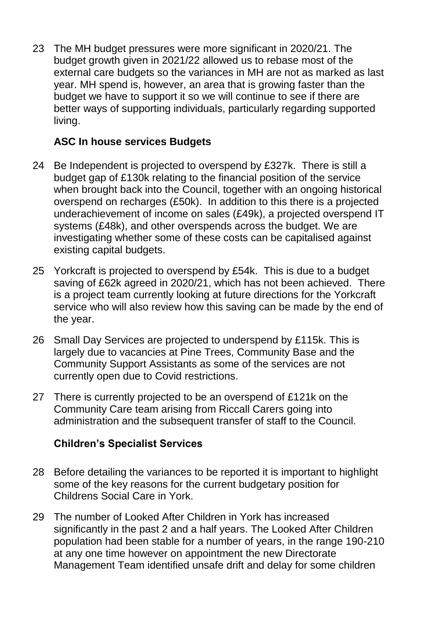23 The MH budget pressures were more significant in 2020/21. The budget growth given in 2021/22 allowed us to rebase most of the external care budgets so the variances in MH are not as marked as last year. MH spend is, however, an area that is growing faster than the budget we have to support it so we will continue to see if there are better ways of supporting individuals, particularly regarding supported living.

### **ASC In house services Budgets**

- 24 Be Independent is projected to overspend by £327k. There is still a budget gap of £130k relating to the financial position of the service when brought back into the Council, together with an ongoing historical overspend on recharges (£50k). In addition to this there is a projected underachievement of income on sales (£49k), a projected overspend IT systems (£48k), and other overspends across the budget. We are investigating whether some of these costs can be capitalised against existing capital budgets.
- 25 Yorkcraft is projected to overspend by £54k. This is due to a budget saving of £62k agreed in 2020/21, which has not been achieved. There is a project team currently looking at future directions for the Yorkcraft service who will also review how this saving can be made by the end of the year.
- 26 Small Day Services are projected to underspend by £115k. This is largely due to vacancies at Pine Trees, Community Base and the Community Support Assistants as some of the services are not currently open due to Covid restrictions.
- 27 There is currently projected to be an overspend of £121k on the Community Care team arising from Riccall Carers going into administration and the subsequent transfer of staff to the Council.

## **Children's Specialist Services**

- 28 Before detailing the variances to be reported it is important to highlight some of the key reasons for the current budgetary position for Childrens Social Care in York.
- 29 The number of Looked After Children in York has increased significantly in the past 2 and a half years. The Looked After Children population had been stable for a number of years, in the range 190-210 at any one time however on appointment the new Directorate Management Team identified unsafe drift and delay for some children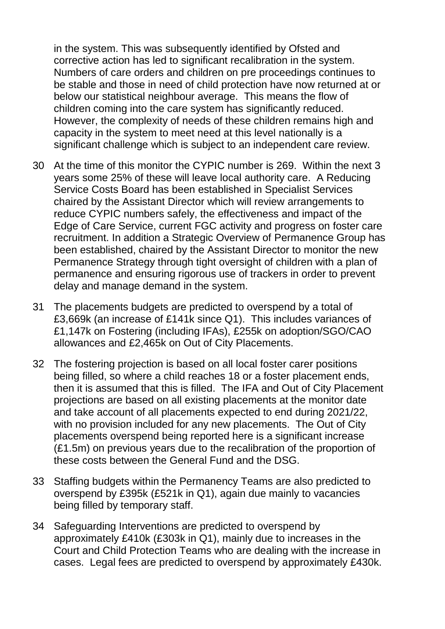in the system. This was subsequently identified by Ofsted and corrective action has led to significant recalibration in the system. Numbers of care orders and children on pre proceedings continues to be stable and those in need of child protection have now returned at or below our statistical neighbour average. This means the flow of children coming into the care system has significantly reduced. However, the complexity of needs of these children remains high and capacity in the system to meet need at this level nationally is a significant challenge which is subject to an independent care review.

- 30 At the time of this monitor the CYPIC number is 269. Within the next 3 years some 25% of these will leave local authority care. A Reducing Service Costs Board has been established in Specialist Services chaired by the Assistant Director which will review arrangements to reduce CYPIC numbers safely, the effectiveness and impact of the Edge of Care Service, current FGC activity and progress on foster care recruitment. In addition a Strategic Overview of Permanence Group has been established, chaired by the Assistant Director to monitor the new Permanence Strategy through tight oversight of children with a plan of permanence and ensuring rigorous use of trackers in order to prevent delay and manage demand in the system.
- 31 The placements budgets are predicted to overspend by a total of £3,669k (an increase of £141k since Q1). This includes variances of £1,147k on Fostering (including IFAs), £255k on adoption/SGO/CAO allowances and £2,465k on Out of City Placements.
- 32 The fostering projection is based on all local foster carer positions being filled, so where a child reaches 18 or a foster placement ends, then it is assumed that this is filled. The IFA and Out of City Placement projections are based on all existing placements at the monitor date and take account of all placements expected to end during 2021/22, with no provision included for any new placements. The Out of City placements overspend being reported here is a significant increase (£1.5m) on previous years due to the recalibration of the proportion of these costs between the General Fund and the DSG.
- 33 Staffing budgets within the Permanency Teams are also predicted to overspend by £395k (£521k in Q1), again due mainly to vacancies being filled by temporary staff.
- 34 Safeguarding Interventions are predicted to overspend by approximately £410k (£303k in Q1), mainly due to increases in the Court and Child Protection Teams who are dealing with the increase in cases. Legal fees are predicted to overspend by approximately £430k.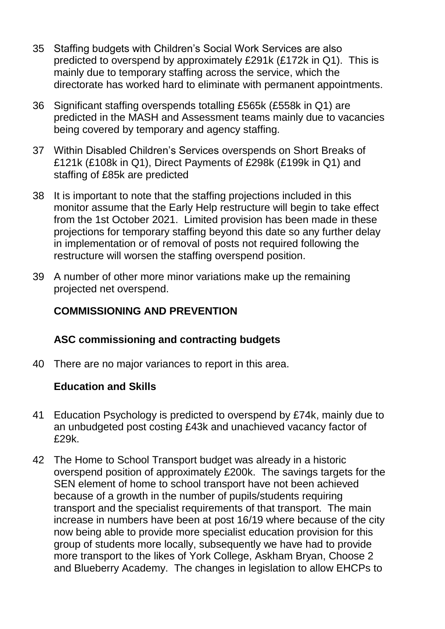- 35 Staffing budgets with Children's Social Work Services are also predicted to overspend by approximately £291k (£172k in Q1). This is mainly due to temporary staffing across the service, which the directorate has worked hard to eliminate with permanent appointments.
- 36 Significant staffing overspends totalling £565k (£558k in Q1) are predicted in the MASH and Assessment teams mainly due to vacancies being covered by temporary and agency staffing.
- 37 Within Disabled Children's Services overspends on Short Breaks of £121k (£108k in Q1), Direct Payments of £298k (£199k in Q1) and staffing of £85k are predicted
- 38 It is important to note that the staffing projections included in this monitor assume that the Early Help restructure will begin to take effect from the 1st October 2021. Limited provision has been made in these projections for temporary staffing beyond this date so any further delay in implementation or of removal of posts not required following the restructure will worsen the staffing overspend position.
- 39 A number of other more minor variations make up the remaining projected net overspend.

# **COMMISSIONING AND PREVENTION**

### **ASC commissioning and contracting budgets**

40 There are no major variances to report in this area.

### **Education and Skills**

- 41 Education Psychology is predicted to overspend by £74k, mainly due to an unbudgeted post costing £43k and unachieved vacancy factor of £29k.
- 42 The Home to School Transport budget was already in a historic overspend position of approximately £200k. The savings targets for the SEN element of home to school transport have not been achieved because of a growth in the number of pupils/students requiring transport and the specialist requirements of that transport. The main increase in numbers have been at post 16/19 where because of the city now being able to provide more specialist education provision for this group of students more locally, subsequently we have had to provide more transport to the likes of York College, Askham Bryan, Choose 2 and Blueberry Academy. The changes in legislation to allow EHCPs to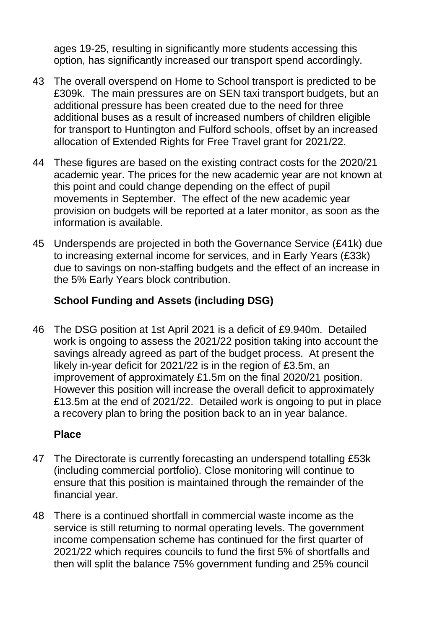ages 19-25, resulting in significantly more students accessing this option, has significantly increased our transport spend accordingly.

- 43 The overall overspend on Home to School transport is predicted to be £309k. The main pressures are on SEN taxi transport budgets, but an additional pressure has been created due to the need for three additional buses as a result of increased numbers of children eligible for transport to Huntington and Fulford schools, offset by an increased allocation of Extended Rights for Free Travel grant for 2021/22.
- 44 These figures are based on the existing contract costs for the 2020/21 academic year. The prices for the new academic year are not known at this point and could change depending on the effect of pupil movements in September. The effect of the new academic year provision on budgets will be reported at a later monitor, as soon as the information is available.
- 45 Underspends are projected in both the Governance Service (£41k) due to increasing external income for services, and in Early Years (£33k) due to savings on non-staffing budgets and the effect of an increase in the 5% Early Years block contribution.

## **School Funding and Assets (including DSG)**

46 The DSG position at 1st April 2021 is a deficit of £9.940m. Detailed work is ongoing to assess the 2021/22 position taking into account the savings already agreed as part of the budget process. At present the likely in-year deficit for 2021/22 is in the region of £3.5m, an improvement of approximately £1.5m on the final 2020/21 position. However this position will increase the overall deficit to approximately £13.5m at the end of 2021/22. Detailed work is ongoing to put in place a recovery plan to bring the position back to an in year balance.

### **Place**

- 47 The Directorate is currently forecasting an underspend totalling £53k (including commercial portfolio). Close monitoring will continue to ensure that this position is maintained through the remainder of the financial year.
- 48 There is a continued shortfall in commercial waste income as the service is still returning to normal operating levels. The government income compensation scheme has continued for the first quarter of 2021/22 which requires councils to fund the first 5% of shortfalls and then will split the balance 75% government funding and 25% council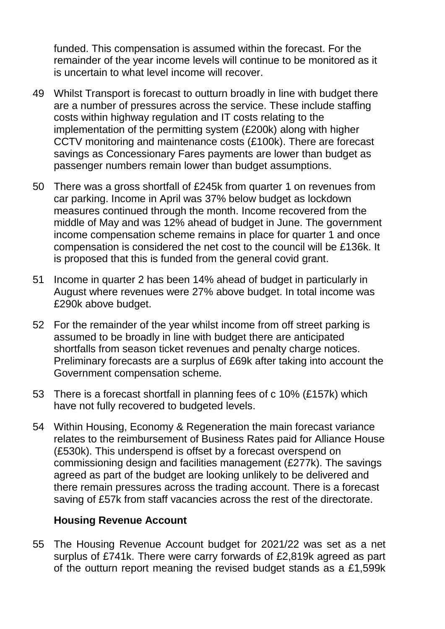funded. This compensation is assumed within the forecast. For the remainder of the year income levels will continue to be monitored as it is uncertain to what level income will recover.

- 49 Whilst Transport is forecast to outturn broadly in line with budget there are a number of pressures across the service. These include staffing costs within highway regulation and IT costs relating to the implementation of the permitting system (£200k) along with higher CCTV monitoring and maintenance costs (£100k). There are forecast savings as Concessionary Fares payments are lower than budget as passenger numbers remain lower than budget assumptions.
- 50 There was a gross shortfall of £245k from quarter 1 on revenues from car parking. Income in April was 37% below budget as lockdown measures continued through the month. Income recovered from the middle of May and was 12% ahead of budget in June. The government income compensation scheme remains in place for quarter 1 and once compensation is considered the net cost to the council will be £136k. It is proposed that this is funded from the general covid grant.
- 51 Income in quarter 2 has been 14% ahead of budget in particularly in August where revenues were 27% above budget. In total income was £290k above budget.
- 52 For the remainder of the year whilst income from off street parking is assumed to be broadly in line with budget there are anticipated shortfalls from season ticket revenues and penalty charge notices. Preliminary forecasts are a surplus of £69k after taking into account the Government compensation scheme.
- 53 There is a forecast shortfall in planning fees of c 10% (£157k) which have not fully recovered to budgeted levels.
- 54 Within Housing, Economy & Regeneration the main forecast variance relates to the reimbursement of Business Rates paid for Alliance House (£530k). This underspend is offset by a forecast overspend on commissioning design and facilities management (£277k). The savings agreed as part of the budget are looking unlikely to be delivered and there remain pressures across the trading account. There is a forecast saving of £57k from staff vacancies across the rest of the directorate.

#### **Housing Revenue Account**

55 The Housing Revenue Account budget for 2021/22 was set as a net surplus of £741k. There were carry forwards of £2,819k agreed as part of the outturn report meaning the revised budget stands as a £1,599k